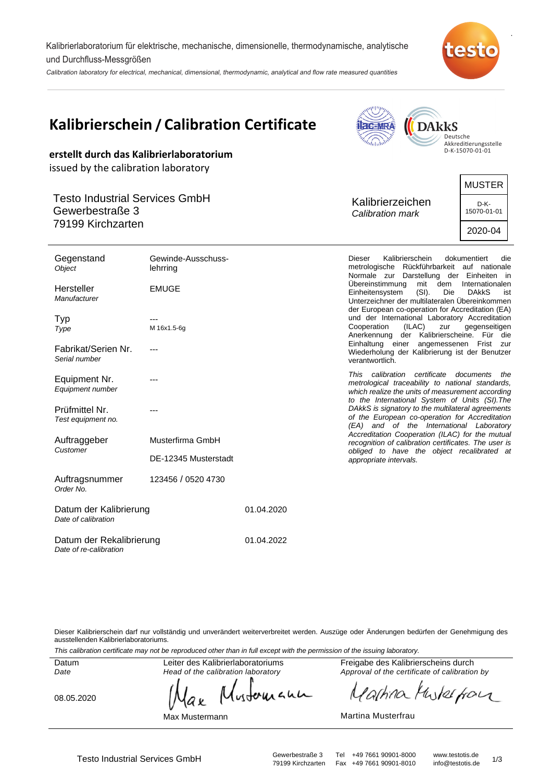Kalibrierlaboratorium für elektrische, mechanische, dimensionelle, thermodynamische, analytische und Durchfluss-Messgrößen

Calibration laboratory for electrical, mechanical, dimensional, thermodynamic, analytical and flow rate measured quantities



.

| <b>Kalibrierschein / Calibration Certificate</b><br><b>DAkkS</b><br><b>acation</b><br>Deutsche<br>$n_{\rm thhd}$<br>Akkreditierungsstelle<br>D-K-15070-01-01<br>erstellt durch das Kalibrierlaboratorium<br>issued by the calibration laboratory |                                                                |            |                                                                                                                                                                                                                                                                                                                                                                                                                                                                                                                                      |                                                                                                                                                                                                                                                                                                                                                                                                                                                                                                                                                                     |                                                                                |
|--------------------------------------------------------------------------------------------------------------------------------------------------------------------------------------------------------------------------------------------------|----------------------------------------------------------------|------------|--------------------------------------------------------------------------------------------------------------------------------------------------------------------------------------------------------------------------------------------------------------------------------------------------------------------------------------------------------------------------------------------------------------------------------------------------------------------------------------------------------------------------------------|---------------------------------------------------------------------------------------------------------------------------------------------------------------------------------------------------------------------------------------------------------------------------------------------------------------------------------------------------------------------------------------------------------------------------------------------------------------------------------------------------------------------------------------------------------------------|--------------------------------------------------------------------------------|
| <b>Testo Industrial Services GmbH</b><br>Gewerbestraße 3<br>79199 Kirchzarten                                                                                                                                                                    |                                                                |            |                                                                                                                                                                                                                                                                                                                                                                                                                                                                                                                                      | Kalibrierzeichen<br>Calibration mark                                                                                                                                                                                                                                                                                                                                                                                                                                                                                                                                |                                                                                |
| Gegenstand<br>Object<br>Hersteller<br>Manufacturer<br>Typ<br>Type<br>Fabrikat/Serien Nr.<br>Serial number                                                                                                                                        | Gewinde-Ausschuss-<br>lehrring<br><b>EMUGE</b><br>M 16x1.5-6g  |            | Dieser<br>Kalibrierschein<br>metrologische Rückführbarkeit auf nationale<br>Normale zur Darstellung der Einheiten in<br>Übereinstimmung<br>mit<br>dem<br>Einheitensystem<br>$(SI)$ .<br><b>Die</b><br>Unterzeichner der multilateralen Übereinkommen<br>der European co-operation for Accreditation (EA)<br>und der International Laboratory Accreditation<br>Cooperation<br>(ILAC)<br>zur<br>Anerkennung der Kalibrierscheine. Für die<br>Einhaltung einer angemessenen Frist zur<br>Wiederholung der Kalibrierung ist der Benutzer |                                                                                                                                                                                                                                                                                                                                                                                                                                                                                                                                                                     | dokumentiert<br>die<br>Internationalen<br><b>DAKKS</b><br>ist<br>gegenseitigen |
| Equipment Nr.<br>Equipment number<br>Prüfmittel Nr.<br>Test equipment no.<br>Auftraggeber<br>Customer<br>Auftragsnummer                                                                                                                          | Musterfirma GmbH<br>DE-12345 Musterstadt<br>123456 / 0520 4730 |            |                                                                                                                                                                                                                                                                                                                                                                                                                                                                                                                                      | verantwortlich.<br>This calibration certificate<br>documents<br>the<br>metrological traceability to national standards,<br>which realize the units of measurement according<br>to the International System of Units (SI). The<br>DAkkS is signatory to the multilateral agreements<br>of the European co-operation for Accreditation<br>(EA) and of the International Laboratory<br>Accreditation Cooperation (ILAC) for the mutual<br>recognition of calibration certificates. The user is<br>obliged to have the object recalibrated at<br>appropriate intervals. |                                                                                |
| Order No.<br>Datum der Kalibrierung<br>Date of calibration                                                                                                                                                                                       |                                                                | 01.04.2020 |                                                                                                                                                                                                                                                                                                                                                                                                                                                                                                                                      |                                                                                                                                                                                                                                                                                                                                                                                                                                                                                                                                                                     |                                                                                |

Datum der Rekalibrierung Date of re-calibration 01.04.2022

Dieser Kalibrierschein darf nur vollständig und unverändert weiterverbreitet werden. Auszüge oder Änderungen bedürfen der Genehmigung des ausstellenden Kalibrierlaboratoriums.

This calibration certificate may not be reproduced other than in full except with the permission of the issuing laboratory.

Datum Date

Leiter des Kalibrierlaboratoriums Head of the calibration laboratory

08.05.2020

wounann a x

Max Mustermann

Freigabe des Kalibrierscheins durch Approval of the certificate of calibration by

Partina Musterform

Martina Musterfrau

Testo Industrial Services GmbH Gewerbestraße 3 Tel +49 7661 90901-8000 www.testotis.de<br>79199 Kirchzarten Fax +49 7661 90901-8010 info@testotis.de 1/3 79199 Kirchzarten Fax +49 7661 90901-8010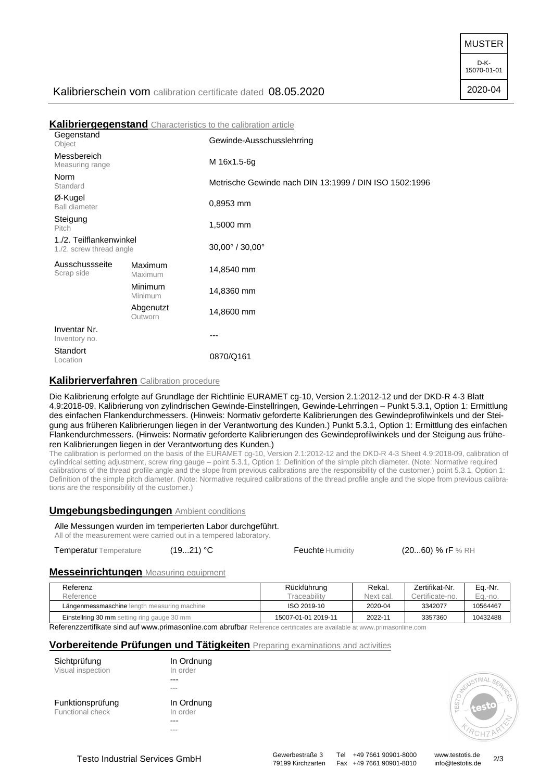MUSTER

D-K-15070-01-01

2020-04

# Kalibrierschein vom calibration certificate dated 08.05.2020

|                                                     |                           | <b>Kalibriergegenstand</b> Characteristics to the calibration article |  |  |
|-----------------------------------------------------|---------------------------|-----------------------------------------------------------------------|--|--|
| Gegenstand<br>Object                                |                           | Gewinde-Ausschusslehrring                                             |  |  |
| Messbereich<br>Measuring range                      |                           | M 16x1.5-6g                                                           |  |  |
| Norm<br>Standard                                    |                           | Metrische Gewinde nach DIN 13:1999 / DIN ISO 1502:1996                |  |  |
| Ø-Kugel<br><b>Ball diameter</b>                     |                           | 0,8953 mm                                                             |  |  |
| Steigung<br>Pitch                                   |                           | 1,5000 mm                                                             |  |  |
| 1./2. Teilflankenwinkel<br>1./2. screw thread angle |                           | $30,00^{\circ}$ / $30,00^{\circ}$                                     |  |  |
| Ausschussseite<br>Scrap side                        | Maximum<br>Maximum        | 14,8540 mm                                                            |  |  |
|                                                     | <b>Minimum</b><br>Minimum | 14,8360 mm                                                            |  |  |
|                                                     | Abgenutzt<br>Outworn      | 14,8600 mm                                                            |  |  |
| Inventar Nr.<br>Inventory no.                       |                           | ---                                                                   |  |  |
| Standort<br>Location                                |                           | 0870/Q161                                                             |  |  |

## **Kalibrierverfahren** Calibration procedure

Die Kalibrierung erfolgte auf Grundlage der Richtlinie EURAMET cg-10, Version 2.1:2012-12 und der DKD-R 4-3 Blatt 4.9:2018-09, Kalibrierung von zylindrischen Gewinde-Einstellringen, Gewinde-Lehrringen – Punkt 5.3.1, Option 1: Ermittlung des einfachen Flankendurchmessers. (Hinweis: Normativ geforderte Kalibrierungen des Gewindeprofilwinkels und der Steigung aus früheren Kalibrierungen liegen in der Verantwortung des Kunden.) Punkt 5.3.1, Option 1: Ermittlung des einfachen Flankendurchmessers. (Hinweis: Normativ geforderte Kalibrierungen des Gewindeprofilwinkels und der Steigung aus früheren Kalibrierungen liegen in der Verantwortung des Kunden.)

The calibration is performed on the basis of the EURAMET cg-10, Version 2.1:2012-12 and the DKD-R 4-3 Sheet 4.9:2018-09, calibration of cylindrical setting adjustment, screw ring gauge – point 5.3.1, Option 1: Definition of the simple pitch diameter. (Note: Normative required calibrations of the thread profile angle and the slope from previous calibrations are the responsibility of the customer.) point 5.3.1, Option 1: Definition of the simple pitch diameter. (Note: Normative required calibrations of the thread profile angle and the slope from previous calibrations are the responsibility of the customer.)

## **Umgebungsbedingungen** Ambient conditions

### Alle Messungen wurden im temperierten Labor durchgeführt.

All of the measurement were carried out in a tempered laboratory.

Temperatur Temperature (19...21) °C Feuchte Humidity (20...60) % rF % RH

## **Messeinrichtungen** Measuring equipment

| Referenz                                           | Rückführung         | Rekal.    | Zertifikat-Nr.  | Eq.-Nr.  |
|----------------------------------------------------|---------------------|-----------|-----------------|----------|
| Reference                                          | <b>Fraceability</b> | Next cal. | Certificate-no. | Ea.-no.  |
| Längenmessmaschine length measuring machine        | ISO 2019-10         | 2020-04   | 3342077         | 10564467 |
| <b>Einstellring 30 mm</b> setting ring gauge 30 mm | 15007-01-01 2019-11 | 2022-11   | 3357360         | 10432488 |

Referenzzertifikate sind auf www.primasonline.com abrufbar Reference certificates are available at www.primasonline.com

## **Vorbereitende Prüfungen und Tätigkeiten** Preparing examinations and activities

| Sichtprüfung      | In Ordnung |  |  |
|-------------------|------------|--|--|
| Visual inspection | In order   |  |  |
|                   |            |  |  |
|                   |            |  |  |
| Funktionsprüfung  | In Ordnung |  |  |
| Functional check  | In order   |  |  |



---

Testo Industrial Services GmbH<br>
79199 Kirchzarten Fax +49 7661 90901-8010 info@testotis.de 2/3 79199 Kirchzarten Fax +49 7661 90901-8010